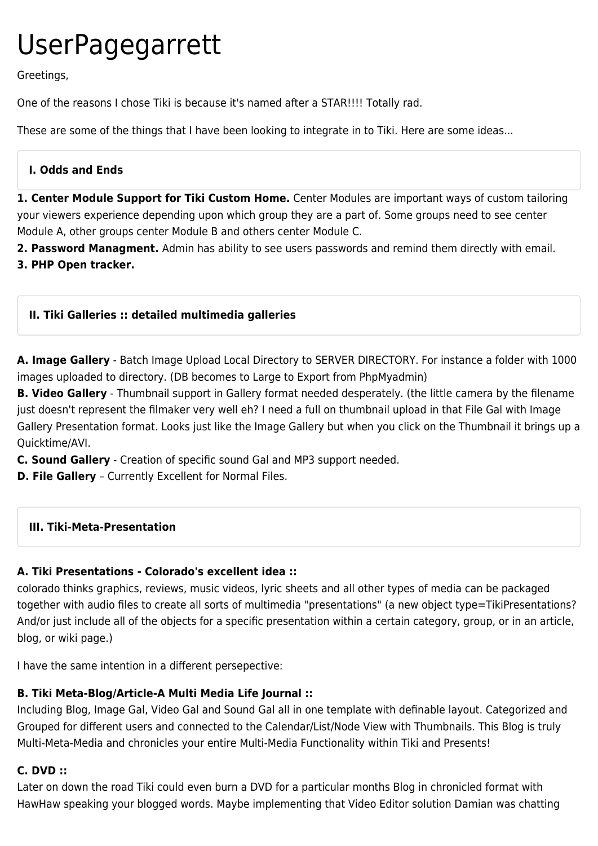# UserPagegarrett

Greetings,

One of the reasons I chose Tiki is because it's named after a STAR!!!! Totally rad.

These are some of the things that I have been looking to integrate in to Tiki. Here are some ideas...

## **I. Odds and Ends**

**1. Center Module Support for Tiki Custom Home.** Center Modules are important ways of custom tailoring your viewers experience depending upon which group they are a part of. Some groups need to see center Module A, other groups center Module B and others center Module C.

**2. Password Managment.** Admin has ability to see users passwords and remind them directly with email. **3. PHP Open tracker.**

## **II. Tiki Galleries :: detailed multimedia galleries**

**A. Image Gallery** - Batch Image Upload Local Directory to SERVER DIRECTORY. For instance a folder with 1000 images uploaded to directory. (DB becomes to Large to Export from PhpMyadmin)

**B. Video Gallery** - Thumbnail support in Gallery format needed desperately. (the little camera by the filename just doesn't represent the filmaker very well eh? I need a full on thumbnail upload in that File Gal with Image Gallery Presentation format. Looks just like the Image Gallery but when you click on the Thumbnail it brings up a Quicktime/AVI.

**C. Sound Gallery** - Creation of specific sound Gal and MP3 support needed.

**D. File Gallery** – Currently Excellent for Normal Files.

#### **III. Tiki-Meta-Presentation**

## **A. Tiki Presentations - Colorado's excellent idea ::**

colorado thinks graphics, reviews, music videos, lyric sheets and all other types of media can be packaged together with audio files to create all sorts of multimedia "presentations" (a new object type=TikiPresentations? And/or just include all of the objects for a specific presentation within a certain category, group, or in an article, blog, or wiki page.)

I have the same intention in a different persepective:

## **B. Tiki Meta-Blog/Article-A Multi Media Life Journal ::**

Including Blog, Image Gal, Video Gal and Sound Gal all in one template with definable layout. Categorized and Grouped for different users and connected to the Calendar/List/Node View with Thumbnails. This Blog is truly Multi-Meta-Media and chronicles your entire Multi-Media Functionality within Tiki and Presents!

## **C. DVD ::**

Later on down the road Tiki could even burn a DVD for a particular months Blog in chronicled format with HawHaw speaking your blogged words. Maybe implementing that Video Editor solution Damian was chatting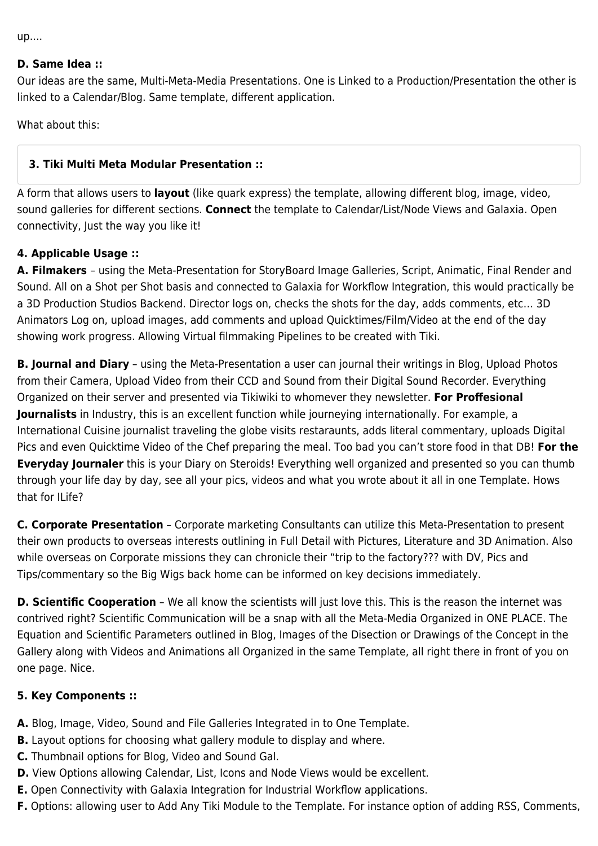up....

#### **D. Same Idea ::**

Our ideas are the same, Multi-Meta-Media Presentations. One is Linked to a Production/Presentation the other is linked to a Calendar/Blog. Same template, different application.

What about this:

# **3. Tiki Multi Meta Modular Presentation ::**

A form that allows users to **layout** (like quark express) the template, allowing different blog, image, video, sound galleries for different sections. **Connect** the template to Calendar/List/Node Views and Galaxia. Open connectivity, lust the way you like it!

# **4. Applicable Usage ::**

**A. Filmakers** – using the Meta-Presentation for StoryBoard Image Galleries, Script, Animatic, Final Render and Sound. All on a Shot per Shot basis and connected to Galaxia for Workflow Integration, this would practically be a 3D Production Studios Backend. Director logs on, checks the shots for the day, adds comments, etc… 3D Animators Log on, upload images, add comments and upload Quicktimes/Film/Video at the end of the day showing work progress. Allowing Virtual filmmaking Pipelines to be created with Tiki.

**B. Journal and Diary** – using the Meta-Presentation a user can journal their writings in Blog, Upload Photos from their Camera, Upload Video from their CCD and Sound from their Digital Sound Recorder. Everything Organized on their server and presented via Tikiwiki to whomever they newsletter. **For Proffesional Journalists** in Industry, this is an excellent function while journeying internationally. For example, a International Cuisine journalist traveling the globe visits restaraunts, adds literal commentary, uploads Digital Pics and even Quicktime Video of the Chef preparing the meal. Too bad you can't store food in that DB! **For the Everyday Journaler** this is your Diary on Steroids! Everything well organized and presented so you can thumb through your life day by day, see all your pics, videos and what you wrote about it all in one Template. Hows that for ILife?

**C. Corporate Presentation** – Corporate marketing Consultants can utilize this Meta-Presentation to present their own products to overseas interests outlining in Full Detail with Pictures, Literature and 3D Animation. Also while overseas on Corporate missions they can chronicle their "trip to the factory??? with DV, Pics and Tips/commentary so the Big Wigs back home can be informed on key decisions immediately.

**D. Scientific Cooperation** - We all know the scientists will just love this. This is the reason the internet was contrived right? Scientific Communication will be a snap with all the Meta-Media Organized in ONE PLACE. The Equation and Scientific Parameters outlined in Blog, Images of the Disection or Drawings of the Concept in the Gallery along with Videos and Animations all Organized in the same Template, all right there in front of you on one page. Nice.

## **5. Key Components ::**

- **A.** Blog, Image, Video, Sound and File Galleries Integrated in to One Template.
- **B.** Layout options for choosing what gallery module to display and where.
- **C.** Thumbnail options for Blog, Video and Sound Gal.
- **D.** View Options allowing Calendar, List, Icons and Node Views would be excellent.
- **E.** Open Connectivity with Galaxia Integration for Industrial Workflow applications.
- **F.** Options: allowing user to Add Any Tiki Module to the Template. For instance option of adding RSS, Comments,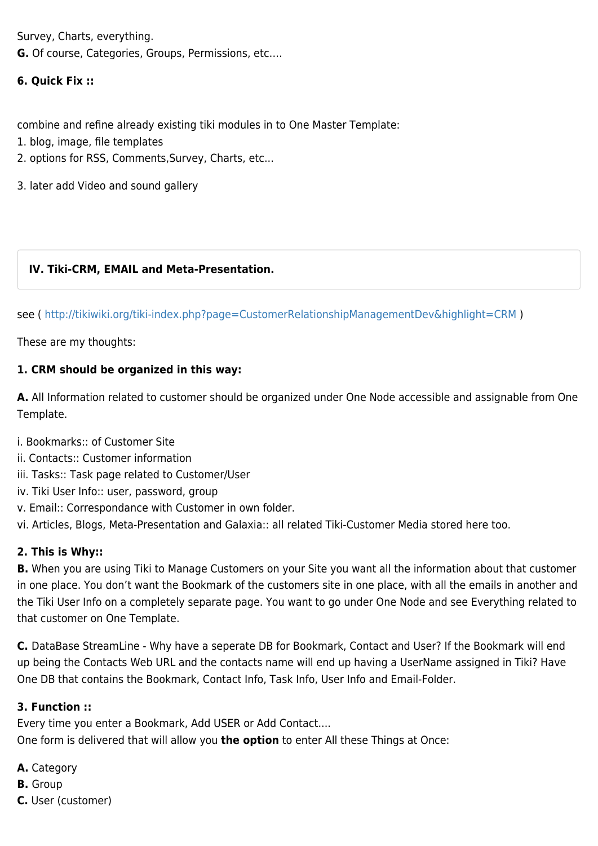Survey, Charts, everything. **G.** Of course, Categories, Groups, Permissions, etc….

### **6. Quick Fix ::**

combine and refine already existing tiki modules in to One Master Template:

- 1. blog, image, file templates
- 2. options for RSS, Comments,Survey, Charts, etc...
- 3. later add Video and sound gallery

#### **IV. Tiki-CRM, EMAIL and Meta-Presentation.**

see ( <http://tikiwiki.org/tiki-index.php?page=CustomerRelationshipManagementDev&highlight=CRM> )

These are my thoughts:

#### **1. CRM should be organized in this way:**

**A.** All Information related to customer should be organized under One Node accessible and assignable from One Template.

- i. Bookmarks:: of Customer Site
- ii. Contacts:: Customer information
- iii. Tasks:: Task page related to Customer/User
- iv. Tiki User Info:: user, password, group
- v. Email:: Correspondance with Customer in own folder.
- vi. Articles, Blogs, Meta-Presentation and Galaxia:: all related Tiki-Customer Media stored here too.

#### **2. This is Why::**

**B.** When you are using Tiki to Manage Customers on your Site you want all the information about that customer in one place. You don't want the Bookmark of the customers site in one place, with all the emails in another and the Tiki User Info on a completely separate page. You want to go under One Node and see Everything related to that customer on One Template.

**C.** DataBase StreamLine - Why have a seperate DB for Bookmark, Contact and User? If the Bookmark will end up being the Contacts Web URL and the contacts name will end up having a UserName assigned in Tiki? Have One DB that contains the Bookmark, Contact Info, Task Info, User Info and Email-Folder.

#### **3. Function ::**

Every time you enter a Bookmark, Add USER or Add Contact.... One form is delivered that will allow you **the option** to enter All these Things at Once:

- **A.** Category
- **B.** Group
- **C.** User (customer)